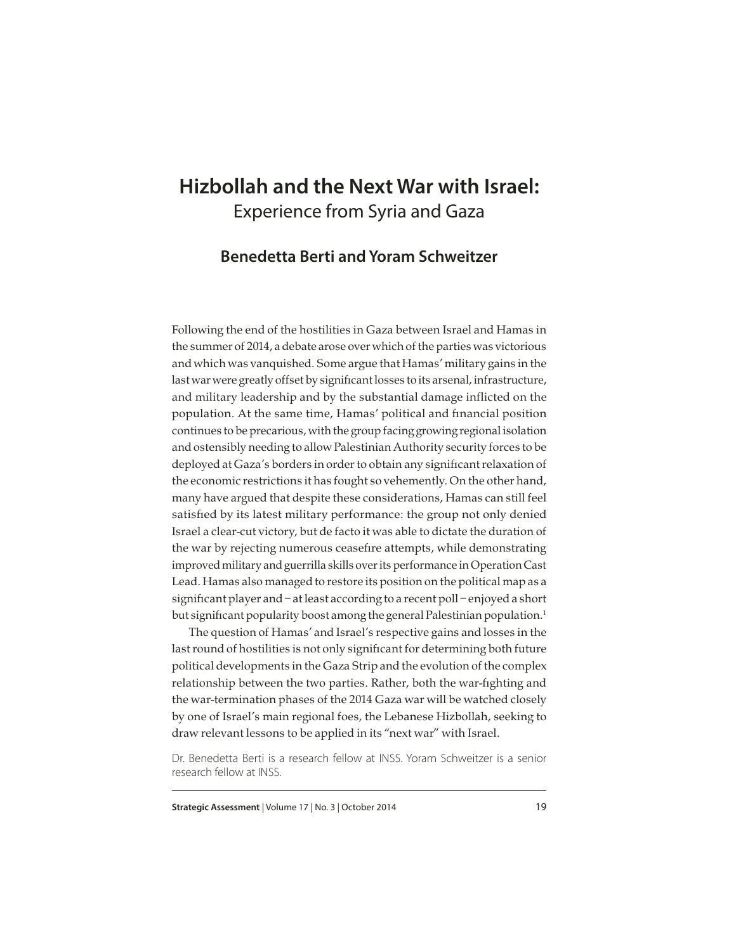# **Hizbollah and the Next War with Israel:** Experience from Syria and Gaza

## **Benedetta Berti and Yoram Schweitzer**

Following the end of the hostilities in Gaza between Israel and Hamas in the summer of 2014, a debate arose over which of the parties was victorious and which was vanquished. Some argue that Hamas' military gains in the last war were greatly offset by significant losses to its arsenal, infrastructure, and military leadership and by the substantial damage inflicted on the population. At the same time, Hamas' political and financial position continues to be precarious, with the group facing growing regional isolation and ostensibly needing to allow Palestinian Authority security forces to be deployed at Gaza's borders in order to obtain any significant relaxation of the economic restrictions it has fought so vehemently. On the other hand, many have argued that despite these considerations, Hamas can still feel satisfied by its latest military performance: the group not only denied Israel a clear-cut victory, but de facto it was able to dictate the duration of the war by rejecting numerous ceasefire attempts, while demonstrating improved military and guerrilla skills over its performance in Operation Cast Lead. Hamas also managed to restore its position on the political map as a significant player and – at least according to a recent poll – enjoyed a short but significant popularity boost among the general Palestinian population.<sup>1</sup>

The question of Hamas' and Israel's respective gains and losses in the last round of hostilities is not only significant for determining both future political developments in the Gaza Strip and the evolution of the complex relationship between the two parties. Rather, both the war-fighting and the war-termination phases of the 2014 Gaza war will be watched closely by one of Israel's main regional foes, the Lebanese Hizbollah, seeking to draw relevant lessons to be applied in its "next war" with Israel.

Dr. Benedetta Berti is a research fellow at INSS. Yoram Schweitzer is a senior research fellow at INSS.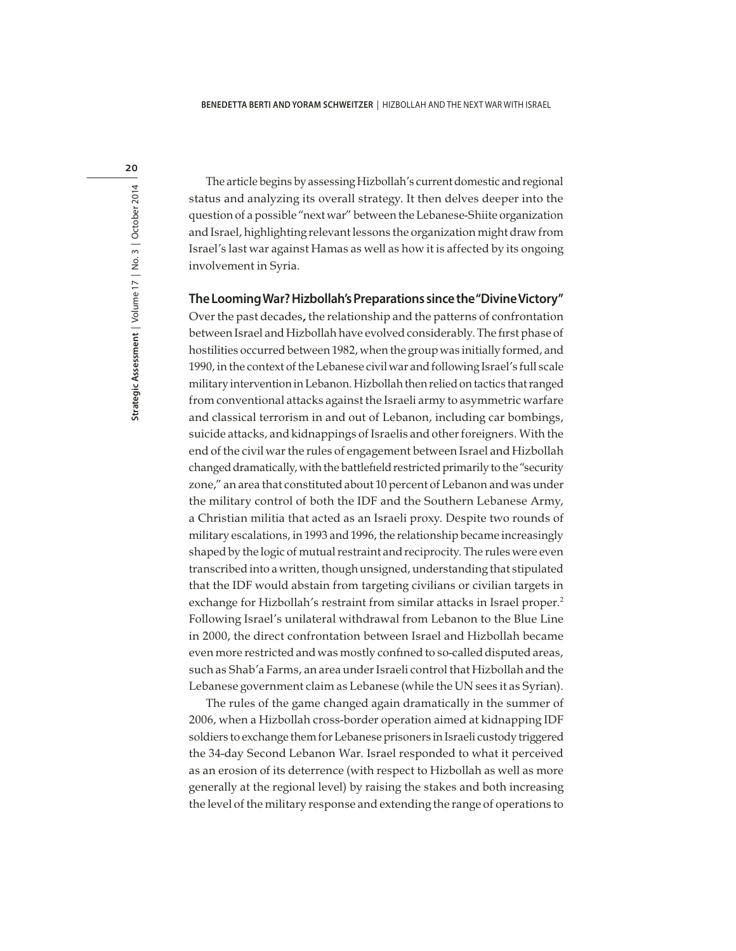20

The article begins by assessing Hizbollah's current domestic and regional status and analyzing its overall strategy. It then delves deeper into the question of a possible "next war" between the Lebanese-Shiite organization and Israel, highlighting relevant lessons the organization might draw from Israel's last war against Hamas as well as how it is affected by its ongoing involvement in Syria.

#### **The Looming War? Hizbollah's Preparations since the "Divine Victory"**

Over the past decades, the relationship and the patterns of confrontation between Israel and Hizbollah have evolved considerably. The first phase of hostilities occurred between 1982, when the group was initially formed, and 1990, in the context of the Lebanese civil war and following Israel's full scale military intervention in Lebanon. Hizbollah then relied on tactics that ranged from conventional attacks against the Israeli army to asymmetric warfare and classical terrorism in and out of Lebanon, including car bombings, suicide attacks, and kidnappings of Israelis and other foreigners. With the end of the civil war the rules of engagement between Israel and Hizbollah changed dramatically, with the battlefield restricted primarily to the "security zone," an area that constituted about 10 percent of Lebanon and was under the military control of both the IDF and the Southern Lebanese Army, a Christian militia that acted as an Israeli proxy. Despite two rounds of military escalations, in 1993 and 1996, the relationship became increasingly shaped by the logic of mutual restraint and reciprocity. The rules were even transcribed into a written, though unsigned, understanding that stipulated that the IDF would abstain from targeting civilians or civilian targets in exchange for Hizbollah's restraint from similar attacks in Israel proper.<sup>2</sup> Following Israel's unilateral withdrawal from Lebanon to the Blue Line in 2000, the direct confrontation between Israel and Hizbollah became even more restricted and was mostly confined to so-called disputed areas, such as Shab'a Farms, an area under Israeli control that Hizbollah and the Lebanese government claim as Lebanese (while the UN sees it as Syrian).

The rules of the game changed again dramatically in the summer of 2006, when a Hizbollah cross-border operation aimed at kidnapping IDF soldiers to exchange them for Lebanese prisoners in Israeli custody triggered the 34-day Second Lebanon War. Israel responded to what it perceived as an erosion of its deterrence (with respect to Hizbollah as well as more generally at the regional level) by raising the stakes and both increasing the level of the military response and extending the range of operations to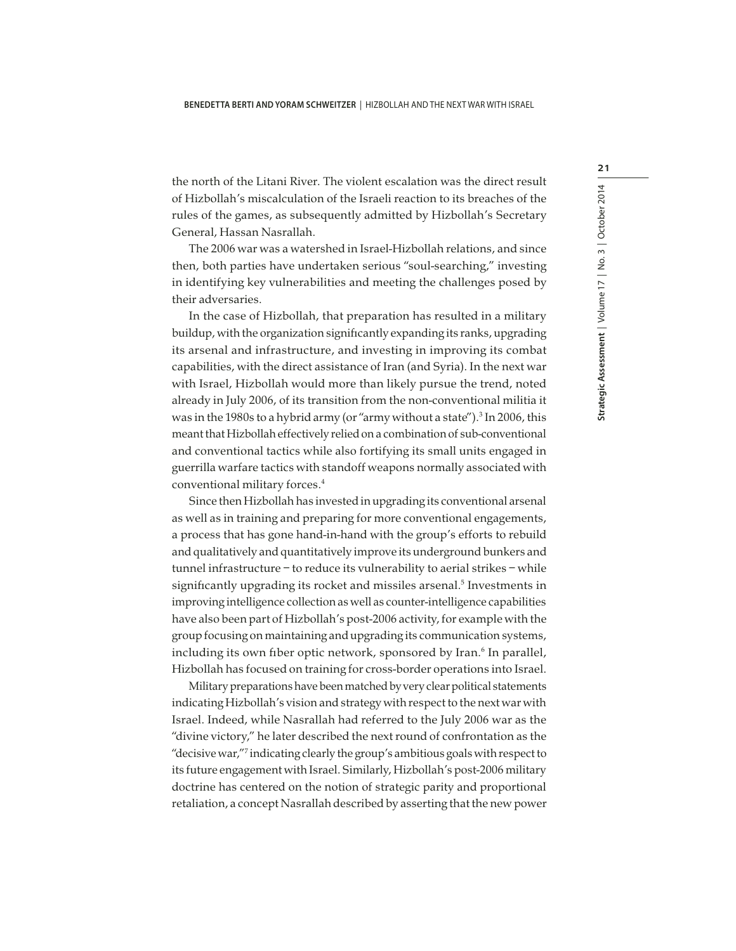the north of the Litani River. The violent escalation was the direct result of Hizbollah's miscalculation of the Israeli reaction to its breaches of the rules of the games, as subsequently admitted by Hizbollah's Secretary General, Hassan Nasrallah.

The 2006 war was a watershed in Israel-Hizbollah relations, and since then, both parties have undertaken serious "soul-searching," investing in identifying key vulnerabilities and meeting the challenges posed by their adversaries.

In the case of Hizbollah, that preparation has resulted in a military buildup, with the organization significantly expanding its ranks, upgrading its arsenal and infrastructure, and investing in improving its combat capabilities, with the direct assistance of Iran (and Syria). In the next war with Israel, Hizbollah would more than likely pursue the trend, noted already in July 2006, of its transition from the non-conventional militia it was in the 1980s to a hybrid army (or "army without a state"). $^3$  In 2006, this meant that Hizbollah effectively relied on a combination of sub-conventional and conventional tactics while also fortifying its small units engaged in guerrilla warfare tactics with standoff weapons normally associated with conventional military forces.<sup>4</sup>

Since then Hizbollah has invested in upgrading its conventional arsenal as well as in training and preparing for more conventional engagements, a process that has gone hand-in-hand with the group's efforts to rebuild and qualitatively and quantitatively improve its underground bunkers and tunnel infrastructure – to reduce its vulnerability to aerial strikes – while significantly upgrading its rocket and missiles arsenal.<sup>5</sup> Investments in improving intelligence collection as well as counter-intelligence capabilities have also been part of Hizbollah's post-2006 activity, for example with the group focusing on maintaining and upgrading its communication systems, including its own fiber optic network, sponsored by Iran.<sup>6</sup> In parallel, Hizbollah has focused on training for cross-border operations into Israel.

Military preparations have been matched by very clear political statements indicating Hizbollah's vision and strategy with respect to the next war with Israel. Indeed, while Nasrallah had referred to the July 2006 war as the "divine victory," he later described the next round of confrontation as the "decisive war,"<sup>7</sup> indicating clearly the group's ambitious goals with respect to its future engagement with Israel. Similarly, Hizbollah's post-2006 military doctrine has centered on the notion of strategic parity and proportional retaliation, a concept Nasrallah described by asserting that the new power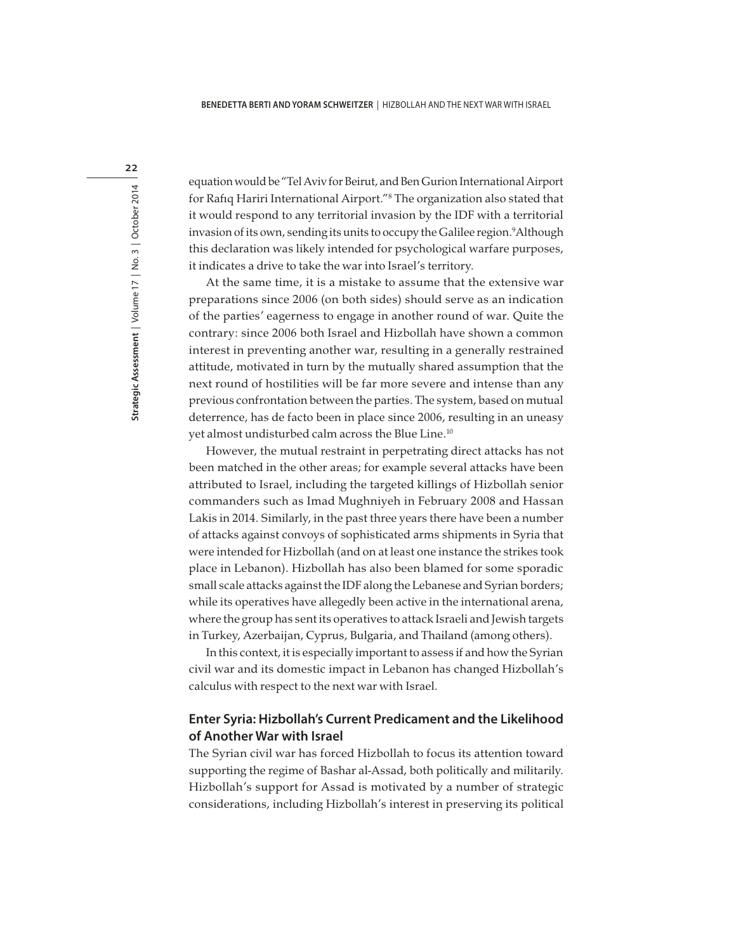equation would be "Tel Aviv for Beirut, and Ben Gurion International Airport for Rafiq Hariri International Airport."<sup>8</sup> The organization also stated that it would respond to any territorial invasion by the IDF with a territorial invasion of its own, sending its units to occupy the Galilee region.<sup>9</sup>Although this declaration was likely intended for psychological warfare purposes, it indicates a drive to take the war into Israel's territory.

At the same time, it is a mistake to assume that the extensive war preparations since 2006 (on both sides) should serve as an indication of the parties' eagerness to engage in another round of war. Quite the contrary: since 2006 both Israel and Hizbollah have shown a common interest in preventing another war, resulting in a generally restrained attitude, motivated in turn by the mutually shared assumption that the next round of hostilities will be far more severe and intense than any previous confrontation between the parties. The system, based on mutual deterrence, has de facto been in place since 2006, resulting in an uneasy yet almost undisturbed calm across the Blue Line.<sup>10</sup>

However, the mutual restraint in perpetrating direct attacks has not been matched in the other areas; for example several attacks have been attributed to Israel, including the targeted killings of Hizbollah senior commanders such as Imad Mughniyeh in February 2008 and Hassan Lakis in 2014. Similarly, in the past three years there have been a number of attacks against convoys of sophisticated arms shipments in Syria that were intended for Hizbollah (and on at least one instance the strikes took place in Lebanon). Hizbollah has also been blamed for some sporadic small scale attacks against the IDF along the Lebanese and Syrian borders; while its operatives have allegedly been active in the international arena, where the group has sent its operatives to attack Israeli and Jewish targets in Turkey, Azerbaijan, Cyprus, Bulgaria, and Thailand (among others).

In this context, it is especially important to assess if and how the Syrian civil war and its domestic impact in Lebanon has changed Hizbollah's calculus with respect to the next war with Israel.

### **Enter Syria: Hizbollah's Current Predicament and the Likelihood of Another War with Israel**

The Syrian civil war has forced Hizbollah to focus its attention toward supporting the regime of Bashar al-Assad, both politically and militarily. Hizbollah's support for Assad is motivated by a number of strategic considerations, including Hizbollah's interest in preserving its political

22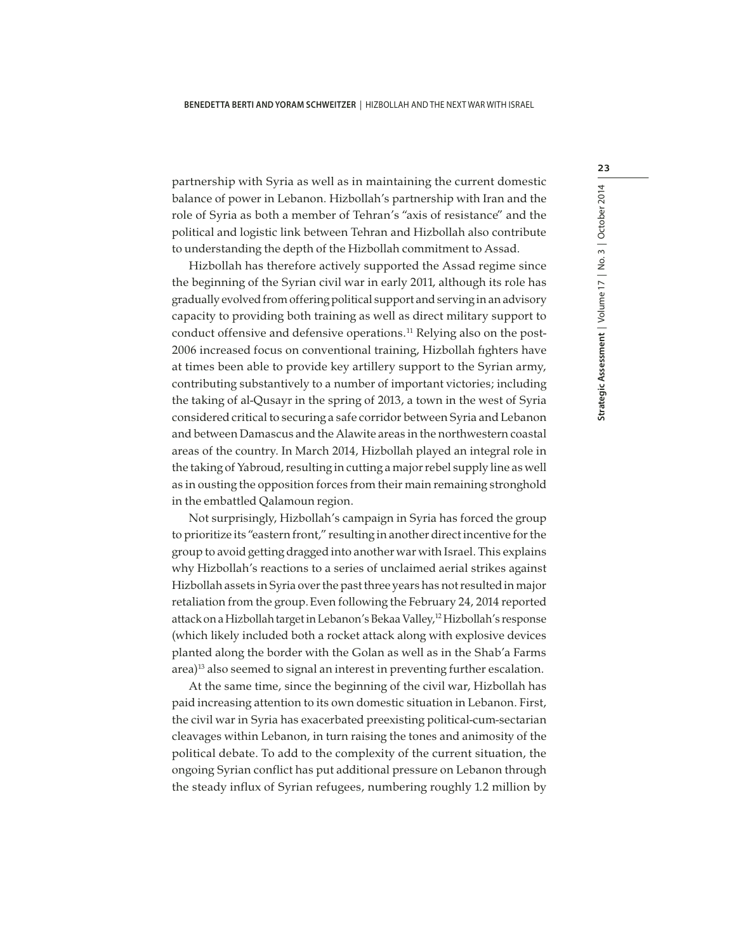partnership with Syria as well as in maintaining the current domestic balance of power in Lebanon. Hizbollah's partnership with Iran and the role of Syria as both a member of Tehran's "axis of resistance" and the political and logistic link between Tehran and Hizbollah also contribute to understanding the depth of the Hizbollah commitment to Assad.

Hizbollah has therefore actively supported the Assad regime since the beginning of the Syrian civil war in early 2011, although its role has gradually evolved from offering political support and serving in an advisory capacity to providing both training as well as direct military support to conduct offensive and defensive operations.<sup>11</sup> Relying also on the post-2006 increased focus on conventional training, Hizbollah fighters have at times been able to provide key artillery support to the Syrian army, contributing substantively to a number of important victories; including the taking of al-Qusayr in the spring of 2013, a town in the west of Syria considered critical to securing a safe corridor between Syria and Lebanon and between Damascus and the Alawite areas in the northwestern coastal areas of the country. In March 2014, Hizbollah played an integral role in the taking of Yabroud, resulting in cutting a major rebel supply line as well as in ousting the opposition forces from their main remaining stronghold in the embattled Qalamoun region.

Not surprisingly, Hizbollah's campaign in Syria has forced the group to prioritize its "eastern front," resulting in another direct incentive for the group to avoid getting dragged into another war with Israel. This explains why Hizbollah's reactions to a series of unclaimed aerial strikes against Hizbollah assets in Syria over the past three years has not resulted in major retaliation from the group.Even following the February 24, 2014 reported attack on a Hizbollah target in Lebanon's Bekaa Valley,<sup>12</sup> Hizbollah's response (which likely included both a rocket attack along with explosive devices planted along the border with the Golan as well as in the Shab'a Farms area)<sup>13</sup> also seemed to signal an interest in preventing further escalation.

At the same time, since the beginning of the civil war, Hizbollah has paid increasing attention to its own domestic situation in Lebanon. First, the civil war in Syria has exacerbated preexisting political-cum-sectarian cleavages within Lebanon, in turn raising the tones and animosity of the political debate. To add to the complexity of the current situation, the ongoing Syrian conflict has put additional pressure on Lebanon through the steady influx of Syrian refugees, numbering roughly 1.2 million by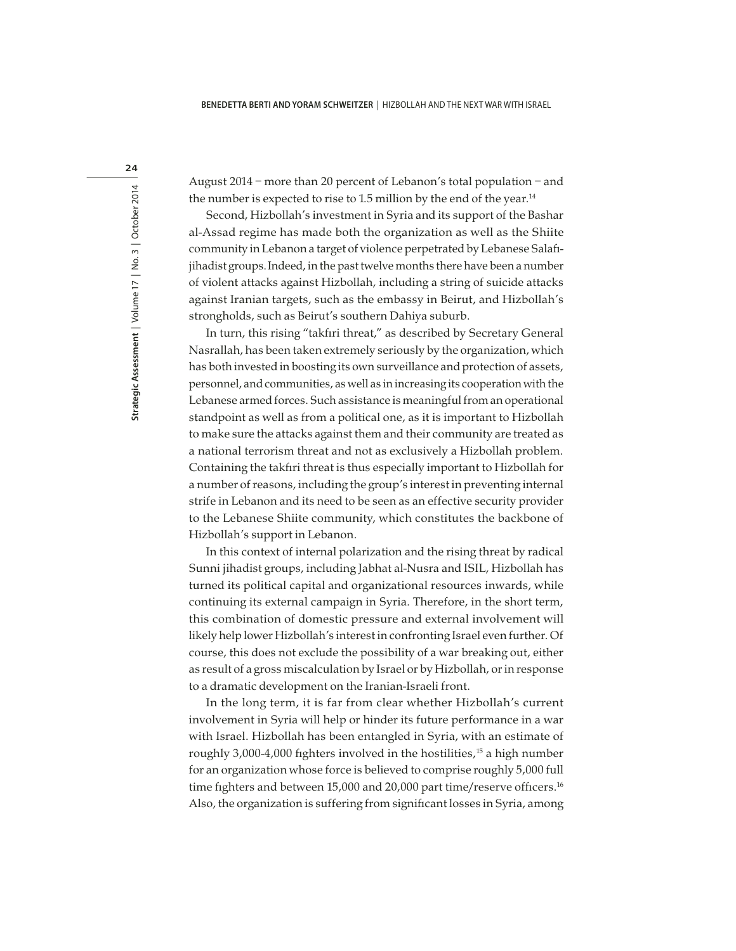24

August 2014 – more than 20 percent of Lebanon's total population – and the number is expected to rise to 1.5 million by the end of the year.<sup>14</sup>

Second, Hizbollah's investment in Syria and its support of the Bashar al-Assad regime has made both the organization as well as the Shiite community in Lebanon a target of violence perpetrated by Lebanese Salafijihadist groups.Indeed, in the past twelve months there have been a number of violent attacks against Hizbollah, including a string of suicide attacks against Iranian targets, such as the embassy in Beirut, and Hizbollah's strongholds, such as Beirut's southern Dahiya suburb.

In turn, this rising "takfiri threat," as described by Secretary General Nasrallah, has been taken extremely seriously by the organization, which has both invested in boosting its own surveillance and protection of assets, personnel, and communities, as well as in increasing its cooperation with the Lebanese armed forces. Such assistance is meaningful from an operational standpoint as well as from a political one, as it is important to Hizbollah to make sure the attacks against them and their community are treated as a national terrorism threat and not as exclusively a Hizbollah problem. Containing the takfiri threat is thus especially important to Hizbollah for a number of reasons, including the group's interest in preventing internal strife in Lebanon and its need to be seen as an effective security provider to the Lebanese Shiite community, which constitutes the backbone of Hizbollah's support in Lebanon.

In this context of internal polarization and the rising threat by radical Sunni jihadist groups, including Jabhat al-Nusra and ISIL, Hizbollah has turned its political capital and organizational resources inwards, while continuing its external campaign in Syria. Therefore, in the short term, this combination of domestic pressure and external involvement will likely help lower Hizbollah's interest in confronting Israel even further. Of course, this does not exclude the possibility of a war breaking out, either as result of a gross miscalculation by Israel or by Hizbollah, or in response to a dramatic development on the Iranian-Israeli front.

In the long term, it is far from clear whether Hizbollah's current involvement in Syria will help or hinder its future performance in a war with Israel. Hizbollah has been entangled in Syria, with an estimate of roughly 3,000-4,000 fighters involved in the hostilities,<sup>15</sup> a high number for an organization whose force is believed to comprise roughly 5,000 full time fighters and between 15,000 and 20,000 part time/reserve officers.<sup>16</sup> Also, the organization is suffering from significant losses in Syria, among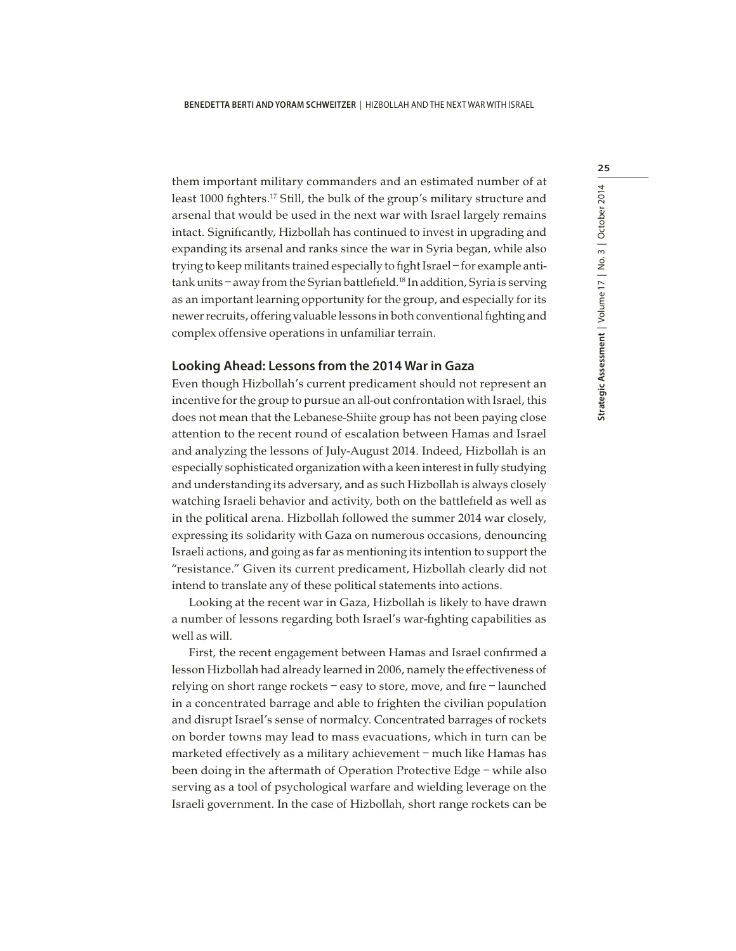them important military commanders and an estimated number of at least 1000 fighters.<sup>17</sup> Still, the bulk of the group's military structure and arsenal that would be used in the next war with Israel largely remains intact. Significantly, Hizbollah has continued to invest in upgrading and expanding its arsenal and ranks since the war in Syria began, while also trying to keep militants trained especially to fight Israel – for example antitank units - away from the Syrian battlefield.<sup>18</sup> In addition, Syria is serving as an important learning opportunity for the group, and especially for its newer recruits, offering valuable lessons in both conventional fighting and complex offensive operations in unfamiliar terrain.

#### **Looking Ahead: Lessons from the 2014 War in Gaza**

Even though Hizbollah's current predicament should not represent an incentive for the group to pursue an all-out confrontation with Israel, this does not mean that the Lebanese-Shiite group has not been paying close attention to the recent round of escalation between Hamas and Israel and analyzing the lessons of July-August 2014. Indeed, Hizbollah is an especially sophisticated organization with a keen interest in fully studying and understanding its adversary, and as such Hizbollah is always closely watching Israeli behavior and activity, both on the battlefield as well as in the political arena. Hizbollah followed the summer 2014 war closely, expressing its solidarity with Gaza on numerous occasions, denouncing Israeli actions, and going as far as mentioning its intention to support the "resistance." Given its current predicament, Hizbollah clearly did not intend to translate any of these political statements into actions.

Looking at the recent war in Gaza, Hizbollah is likely to have drawn a number of lessons regarding both Israel's war-fighting capabilities as well as will.

First, the recent engagement between Hamas and Israel confirmed a lesson Hizbollah had already learned in 2006, namely the effectiveness of relying on short range rockets – easy to store, move, and fire – launched in a concentrated barrage and able to frighten the civilian population and disrupt Israel's sense of normalcy. Concentrated barrages of rockets on border towns may lead to mass evacuations, which in turn can be marketed effectively as a military achievement – much like Hamas has been doing in the aftermath of Operation Protective Edge – while also serving as a tool of psychological warfare and wielding leverage on the Israeli government. In the case of Hizbollah, short range rockets can be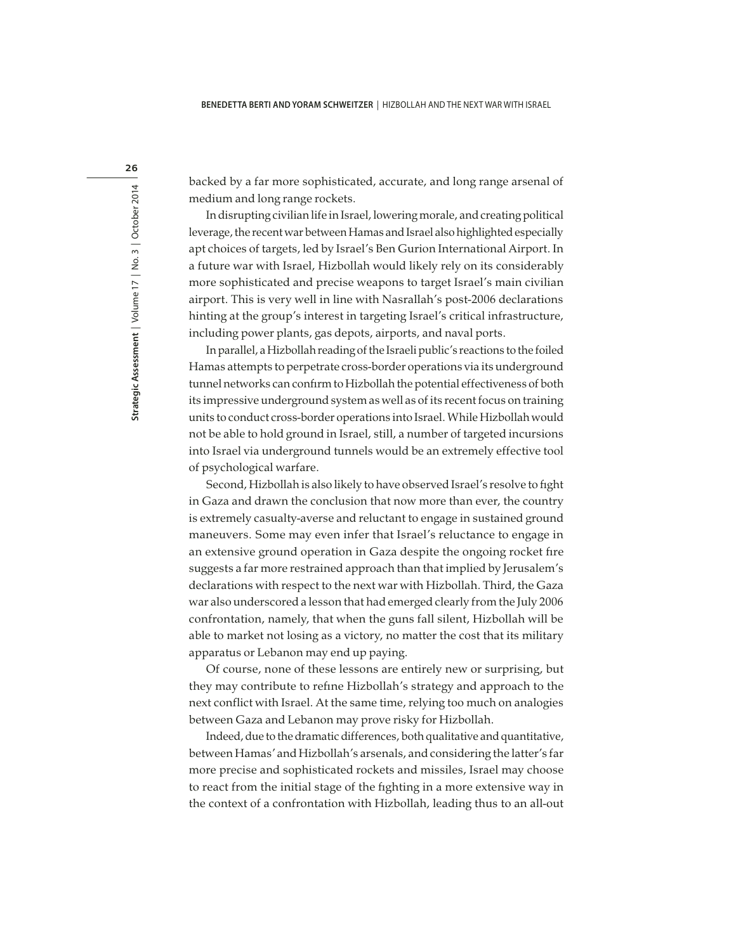backed by a far more sophisticated, accurate, and long range arsenal of medium and long range rockets.

In disrupting civilian life in Israel, lowering morale, and creating political leverage, the recent war between Hamas and Israel also highlighted especially apt choices of targets, led by Israel's Ben Gurion International Airport. In a future war with Israel, Hizbollah would likely rely on its considerably more sophisticated and precise weapons to target Israel's main civilian airport. This is very well in line with Nasrallah's post-2006 declarations hinting at the group's interest in targeting Israel's critical infrastructure, including power plants, gas depots, airports, and naval ports.

In parallel, a Hizbollah reading of the Israeli public's reactions to the foiled Hamas attempts to perpetrate cross-border operations via its underground tunnel networks can confirm to Hizbollah the potential effectiveness of both its impressive underground system as well as of its recent focus on training units to conduct cross-border operations into Israel. While Hizbollah would not be able to hold ground in Israel, still, a number of targeted incursions into Israel via underground tunnels would be an extremely effective tool of psychological warfare.

Second, Hizbollah is also likely to have observed Israel's resolve to fight in Gaza and drawn the conclusion that now more than ever, the country is extremely casualty-averse and reluctant to engage in sustained ground maneuvers. Some may even infer that Israel's reluctance to engage in an extensive ground operation in Gaza despite the ongoing rocket fire suggests a far more restrained approach than that implied by Jerusalem's declarations with respect to the next war with Hizbollah. Third, the Gaza war also underscored a lesson that had emerged clearly from the July 2006 confrontation, namely, that when the guns fall silent, Hizbollah will be able to market not losing as a victory, no matter the cost that its military apparatus or Lebanon may end up paying.

Of course, none of these lessons are entirely new or surprising, but they may contribute to refine Hizbollah's strategy and approach to the next conflict with Israel. At the same time, relying too much on analogies between Gaza and Lebanon may prove risky for Hizbollah.

Indeed, due to the dramatic differences, both qualitative and quantitative, between Hamas' and Hizbollah's arsenals, and considering the latter's far more precise and sophisticated rockets and missiles, Israel may choose to react from the initial stage of the fighting in a more extensive way in the context of a confrontation with Hizbollah, leading thus to an all-out

26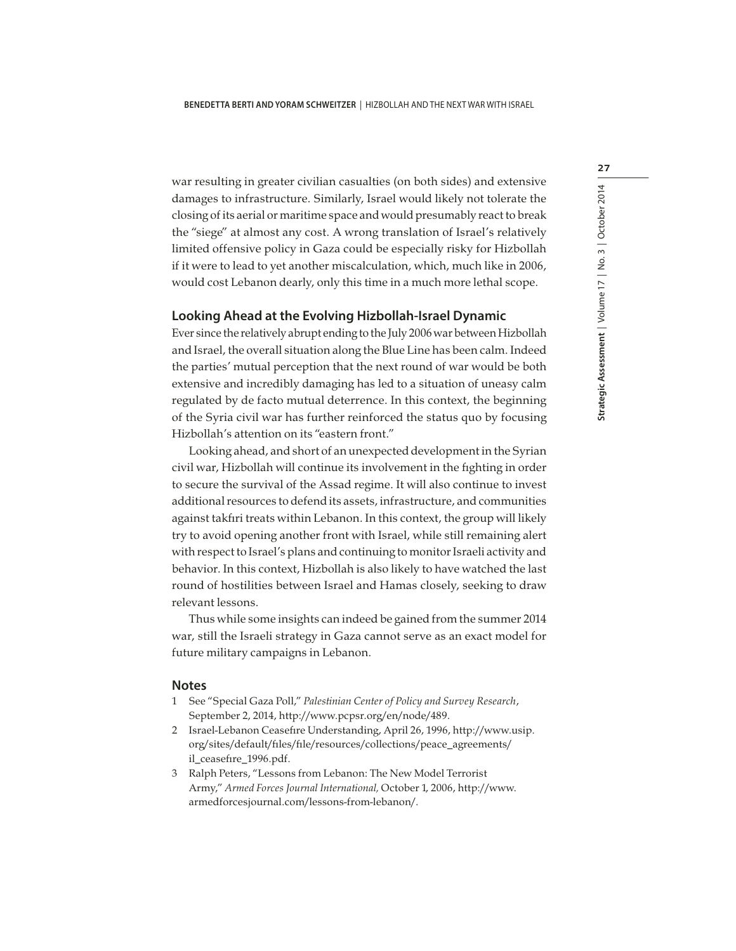war resulting in greater civilian casualties (on both sides) and extensive damages to infrastructure. Similarly, Israel would likely not tolerate the closing of its aerial or maritime space and would presumably react to break the "siege" at almost any cost. A wrong translation of Israel's relatively limited offensive policy in Gaza could be especially risky for Hizbollah if it were to lead to yet another miscalculation, which, much like in 2006, would cost Lebanon dearly, only this time in a much more lethal scope.

#### **Looking Ahead at the Evolving Hizbollah-Israel Dynamic**

Ever since the relatively abrupt ending to the July 2006 war between Hizbollah and Israel, the overall situation along the Blue Line has been calm. Indeed the parties' mutual perception that the next round of war would be both extensive and incredibly damaging has led to a situation of uneasy calm regulated by de facto mutual deterrence. In this context, the beginning of the Syria civil war has further reinforced the status quo by focusing Hizbollah's attention on its "eastern front."

Looking ahead, and short of an unexpected development in the Syrian civil war, Hizbollah will continue its involvement in the fighting in order to secure the survival of the Assad regime. It will also continue to invest additional resources to defend its assets, infrastructure, and communities against takfiri treats within Lebanon. In this context, the group will likely try to avoid opening another front with Israel, while still remaining alert with respect to Israel's plans and continuing to monitor Israeli activity and behavior. In this context, Hizbollah is also likely to have watched the last round of hostilities between Israel and Hamas closely, seeking to draw relevant lessons.

Thus while some insights can indeed be gained from the summer 2014 war, still the Israeli strategy in Gaza cannot serve as an exact model for future military campaigns in Lebanon.

#### **Notes**

- 1 See "Special Gaza Poll," Palestinian Center of Policy and Survey Research, September 2, 2014, http://www.pcpsr.org/en/node/489.
- 2 Israel-Lebanon Ceasefire Understanding, April 26, 1996, http://www.usip. org/sites/default/files/file/resources/collections/peace\_agreements/ il\_ceasefire\_1996.pdf.
- 3 Ralph Peters, "Lessons from Lebanon: The New Model Terrorist Army," Armed Forces Journal International, October 1, 2006, http://www. armedforcesjournal.com/lessons-from-lebanon/.